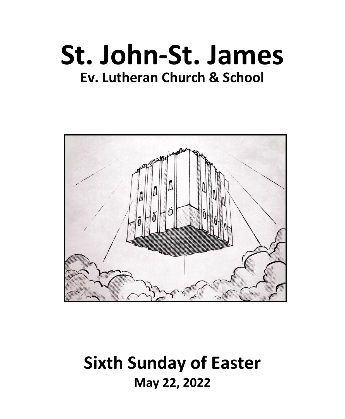# **St. John-St. James Ev. Lutheran Church & School**



# **Sixth Sunday of Easter May 22, 2022**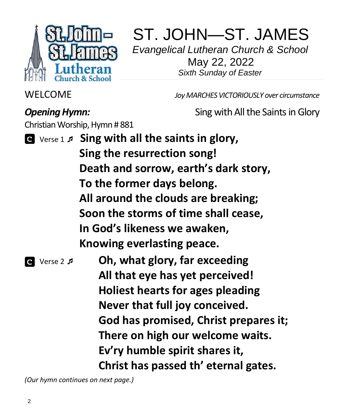

# ST. JOHN—ST. JAMES

 *Evangelical Lutheran Church & School*  May 22, 2022 *Sixth Sunday of Easter*

WELCOME *Joy MARCHES VICTORIOUSLY over circumstance*

**Opening Hymn: Channel State State Series Sing with All the Saints in Glory** 

Christian Worship, Hymn # 881

- Verse 1  **Sing with all the saints in glory, Sing the resurrection song! Death and sorrow, earth's dark story, To the former days belong. All around the clouds are breaking; Soon the storms of time shall cease, In God's likeness we awaken, Knowing everlasting peace.**
- Verse 2 **Oh, what glory, far exceeding All that eye has yet perceived! Holiest hearts for ages pleading Never that full joy conceived. God has promised, Christ prepares it; There on high our welcome waits. Ev'ry humble spirit shares it, Christ has passed th' eternal gates.**

*(Our hymn continues on next page.)*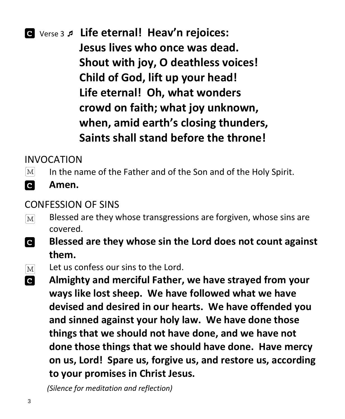# Verse 3  **Life eternal! Heav'n rejoices: Jesus lives who once was dead. Shout with joy, O deathless voices! Child of God, lift up your head! Life eternal! Oh, what wonders crowd on faith; what joy unknown, when, amid earth's closing thunders, Saints shall stand before the throne!**

# INVOCATION

- In the name of the Father and of the Son and of the Holy Spirit.  $|M|$
- **C** 
	- **Amen.**

### CONFESSION OF SINS

- Blessed are they whose transgressions are forgiven, whose sins are  $\boxed{\text{M}}$ covered.
- **C Blessed are they whose sin the Lord does not count against them.**
- Let us confess our sins to the Lord.  $\lceil \text{M} \rceil$
- $\overline{c}$ **Almighty and merciful Father, we have strayed from your ways like lost sheep. We have followed what we have devised and desired in our hearts. We have offended you and sinned against your holy law. We have done those things that we should not have done, and we have not done those things that we should have done. Have mercy on us, Lord! Spare us, forgive us, and restore us, according to your promises in Christ Jesus.**

 *(Silence for meditation and reflection)*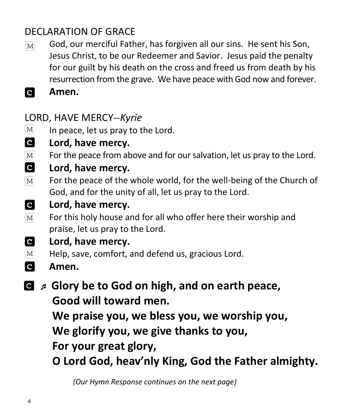# DECLARATION OF GRACE

- God, our merciful Father, has forgiven all our sins. He sent his Son,  $\lceil \text{M} \rceil$ Jesus Christ, to be our Redeemer and Savior. Jesus paid the penalty for our guilt by his death on the cross and freed us from death by his resurrection from the grave. We have peace with God now and forever.
- **C Amen.**

# LORD, HAVE MERCY*--Kyrie*

- $\lvert \text{M} \rvert$ In peace, let us pray to the Lord.
- $\overline{c}$ **Lord, have mercy.**
- For the peace from above and for our salvation, let us pray to the Lord.  $|M|$
- $\mathbf{c}$ **Lord, have mercy.**
- $[M]$ For the peace of the whole world, for the well-being of the Church of God, and for the unity of all, let us pray to the Lord.
- **C Lord, have mercy.**
- For this holy house and for all who offer here their worship and  $|M|$ praise, let us pray to the Lord.
- $|{\bf c}|$ **Lord, have mercy.**
- Help, save, comfort, and defend us, gracious Lord.  $|M|$
- $\mathbf{C}$ **Amen.**
- $\blacksquare$  *A* Glory be to God on high, and on earth peace, **Good will toward men.**

**We praise you, we bless you, we worship you,**

**We glorify you, we give thanks to you,**

**For your great glory,**

**O Lord God, heav'nly King, God the Father almighty.**

*(Our Hymn Response continues on the next page)*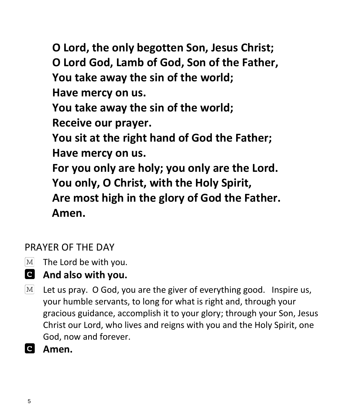**O Lord, the only begotten Son, Jesus Christ; O Lord God, Lamb of God, Son of the Father, You take away the sin of the world; Have mercy on us. You take away the sin of the world; Receive our prayer. You sit at the right hand of God the Father; Have mercy on us. For you only are holy; you only are the Lord. You only, O Christ, with the Holy Spirit, Are most high in the glory of God the Father. Amen.**

## PRAYER OF THE DAY

- $\overline{\text{M}}$ The Lord be with you.
- **And also with you.**
- Let us pray. O God, you are the giver of everything good. Inspire us,  $M<sup>2</sup>$ your humble servants, to long for what is right and, through your gracious guidance, accomplish it to your glory; through your Son, Jesus Christ our Lord, who lives and reigns with you and the Holy Spirit, one God, now and forever.
- **Amen.**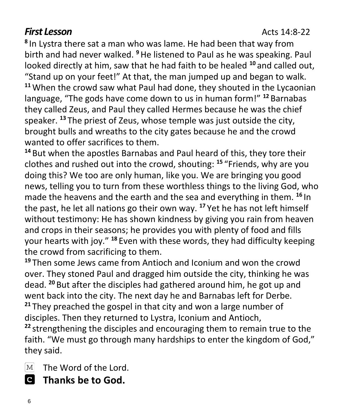### **First Lesson**<br>**Acts 14:8-22**

**8** In Lystra there sat a man who was lame. He had been that way from birth and had never walked. **<sup>9</sup>**He listened to Paul as he was speaking. Paul looked directly at him, saw that he had faith to be healed **<sup>10</sup>** and called out, "Stand up on your feet!" At that, the man jumped up and began to walk. **<sup>11</sup>**When the crowd saw what Paul had done, they shouted in the Lycaonian language, "The gods have come down to us in human form!" **<sup>12</sup>** Barnabas they called Zeus, and Paul they called Hermes because he was the chief speaker. **<sup>13</sup>** The priest of Zeus, whose temple was just outside the city, brought bulls and wreaths to the city gates because he and the crowd wanted to offer sacrifices to them.

**<sup>14</sup>** But when the apostles Barnabas and Paul heard of this, they tore their clothes and rushed out into the crowd, shouting: **<sup>15</sup>** "Friends, why are you doing this? We too are only human, like you. We are bringing you good news, telling you to turn from these worthless things to the living God, who made the heavens and the earth and the sea and everything in them. **<sup>16</sup>** In the past, he let all nations go their own way. **<sup>17</sup>** Yet he has not left himself without testimony: He has shown kindness by giving you rain from heaven and crops in their seasons; he provides you with plenty of food and fills your hearts with joy." **<sup>18</sup>** Even with these words, they had difficulty keeping the crowd from sacrificing to them.

**<sup>19</sup>** Then some Jews came from Antioch and Iconium and won the crowd over. They stoned Paul and dragged him outside the city, thinking he was dead. **<sup>20</sup>** But after the disciples had gathered around him, he got up and went back into the city. The next day he and Barnabas left for Derbe. **<sup>21</sup>** They preached the gospel in that city and won a large number of disciples. Then they returned to Lystra, Iconium and Antioch, **<sup>22</sup>** strengthening the disciples and encouraging them to remain true to the faith. "We must go through many hardships to enter the kingdom of God," they said.

 $\lceil \text{M} \rceil$ The Word of the Lord.

 **Thanks be to God.**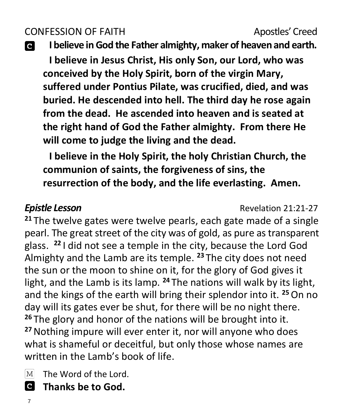# CONFESSION OF FAITH Apostles' Creed

C

**I believe in God the Father almighty, maker of heaven and earth.**

**I believe in Jesus Christ, His only Son, our Lord, who was conceived by the Holy Spirit, born of the virgin Mary, suffered under Pontius Pilate, was crucified, died, and was buried. He descended into hell. The third day he rose again from the dead. He ascended into heaven and is seated at the right hand of God the Father almighty. From there He will come to judge the living and the dead.**

**I believe in the Holy Spirit, the holy Christian Church, the communion of saints, the forgiveness of sins, the resurrection of the body, and the life everlasting. Amen.**

**Epistle Lesson COVERTIGATE: Revelation 21:21-27** 

**<sup>21</sup>** The twelve gates were twelve pearls, each gate made of a single pearl. The great street of the city was of gold, as pure as transparent glass. **<sup>22</sup>** I did not see a temple in the city, because the Lord God Almighty and the Lamb are its temple. **<sup>23</sup>** The city does not need the sun or the moon to shine on it, for the glory of God gives it light, and the Lamb is its lamp. **<sup>24</sup>** The nations will walk by its light, and the kings of the earth will bring their splendor into it. **<sup>25</sup>**On no day will its gates ever be shut, for there will be no night there. **<sup>26</sup>** The glory and honor of the nations will be brought into it. **<sup>27</sup>**Nothing impure will ever enter it, nor will anyone who does what is shameful or deceitful, but only those whose names are written in the Lamb's book of life.

 $\boxed{\text{M}}$ The Word of the Lord.

 **Thanks be to God.**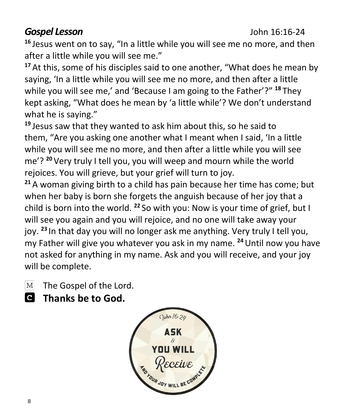## *Gospel Lesson* John 16:16-24

**<sup>16</sup>** Jesus went on to say, "In a little while you will see me no more, and then after a little while you will see me."

**<sup>17</sup>** At this, some of his disciples said to one another, "What does he mean by saying, 'In a little while you will see me no more, and then after a little while you will see me,' and 'Because I am going to the Father'?" **<sup>18</sup>** They kept asking, "What does he mean by 'a little while'? We don't understand what he is saying."

**<sup>19</sup>** Jesus saw that they wanted to ask him about this, so he said to them, "Are you asking one another what I meant when I said, 'In a little while you will see me no more, and then after a little while you will see me'? **<sup>20</sup>** Very truly I tell you, you will weep and mourn while the world rejoices. You will grieve, but your grief will turn to joy.

**<sup>21</sup>** A woman giving birth to a child has pain because her time has come; but when her baby is born she forgets the anguish because of her joy that a child is born into the world. **<sup>22</sup>** So with you: Now is your time of grief, but I will see you again and you will rejoice, and no one will take away your joy. **<sup>23</sup>** In that day you will no longer ask me anything. Very truly I tell you, my Father will give you whatever you ask in my name. **<sup>24</sup>**Until now you have not asked for anything in my name. Ask and you will receive, and your joy will be complete.

- $\lceil \text{M} \rceil$ The Gospel of the Lord.
- **Thanks be to God.**

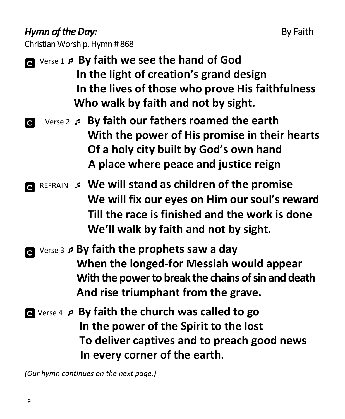## *Hymn of the Day:* By Faith

Christian Worship, Hymn # 868

- **a** Verse 1 *P* **By faith we see the hand of God In the light of creation's grand design In the lives of those who prove His faithfulness Who walk by faith and not by sight.**
- Verse 2  **By faith our fathers roamed the earth With the power of His promise in their hearts Of a holy city built by God's own hand A place where peace and justice reign**
- REFRAIN **We will stand as children of the promise We will fix our eyes on Him our soul's reward Till the race is finished and the work is done We'll walk by faith and not by sight.**
- Verse 3 **By faith the prophets saw a day When the longed-for Messiah would appear With the power to break the chains of sin and death And rise triumphant from the grave.**
- Verse 4  **By faith the church was called to go In the power of the Spirit to the lost To deliver captives and to preach good news In every corner of the earth.**

*(Our hymn continues on the next page.)*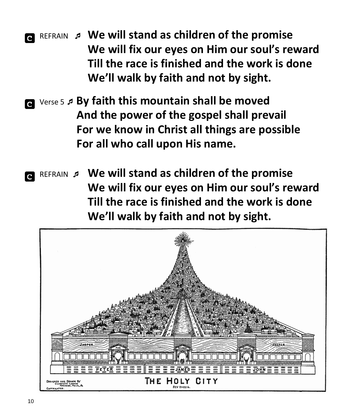REFRAIN **We will stand as children of the promise We will fix our eyes on Him our soul's reward Till the race is finished and the work is done We'll walk by faith and not by sight.**

 Verse 5 **By faith this mountain shall be moved And the power of the gospel shall prevail For we know in Christ all things are possible For all who call upon His name.** 

 REFRAIN  **We will stand as children of the promise We will fix our eyes on Him our soul's reward Till the race is finished and the work is done We'll walk by faith and not by sight.**

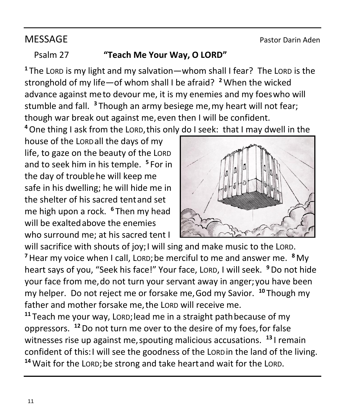### Psalm 27 **"Teach Me Your Way, O LORD"**

**<sup>1</sup>** The LORD is my light and my salvation—whom shall I fear? The LORD is the stronghold of my life—of whom shall I be afraid? **<sup>2</sup>**When the wicked advance against meto devour me, it is my enemies and my foeswho will stumble and fall. **<sup>3</sup>** Though an army besiege me,my heart will not fear; though war break out against me,even then I will be confident.

**<sup>4</sup>**One thing I ask from the LORD,this only do I seek: that I may dwell in the

house of the LORDall the days of my life, to gaze on the beauty of the LORD and to seek him in his temple. **5** For in the day of troublehe will keep me safe in his dwelling; he will hide me in the shelter of his sacred tentand set me high upon a rock. **<sup>6</sup>** Then my head will be exaltedabove the enemies who surround me; at his sacred tent I



will sacrifice with shouts of joy; I will sing and make music to the LORD. **<sup>7</sup>**Hear my voice when I call, LORD;be merciful to me and answer me. **<sup>8</sup>** My heart says of you, "Seek his face!" Your face, LORD, I will seek. **<sup>9</sup>**Do not hide your face from me,do not turn your servant away in anger;you have been my helper. Do not reject me or forsake me,God my Savior. **<sup>10</sup>** Though my father and mother forsake me, the LORD will receive me.

**<sup>11</sup>** Teach me your way, LORD;lead me in a straight pathbecause of my oppressors. **<sup>12</sup>**Do not turn me over to the desire of my foes,for false witnesses rise up against me,spouting malicious accusations. **<sup>13</sup>** I remain confident of this:I will see the goodness of the LORDin the land of the living. **<sup>14</sup>**Wait for the LORD;be strong and take heartand wait for the LORD.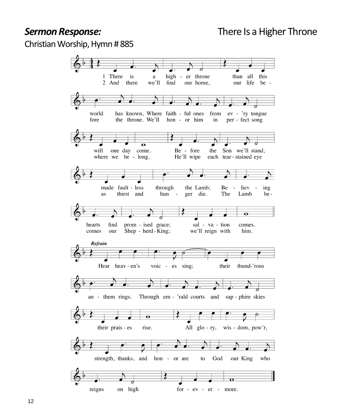Christian Worship, Hymn # 885

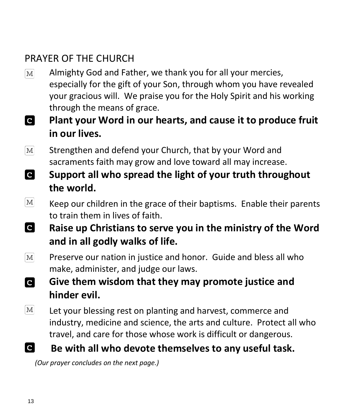# PRAYER OF THE CHURCH

- Almighty God and Father, we thank you for all your mercies,  $\left[ \mathrm{M}\right]$ especially for the gift of your Son, through whom you have revealed your gracious will. We praise you for the Holy Spirit and his working through the means of grace.
- **C Plant your Word in our hearts, and cause it to produce fruit in our lives.**
- Strengthen and defend your Church, that by your Word and  $\lceil \text{M} \rceil$ sacraments faith may grow and love toward all may increase.
- **C Support all who spread the light of your truth throughout the world.**
- $\lceil \text{M} \rceil$ Keep our children in the grace of their baptisms. Enable their parents to train them in lives of faith.
- **C Raise up Christians to serve you in the ministry of the Word and in all godly walks of life.**
- $|M|$ Preserve our nation in justice and honor. Guide and bless all who make, administer, and judge our laws.
- **C Give them wisdom that they may promote justice and hinder evil.**
- $\lceil \text{M} \rceil$ Let your blessing rest on planting and harvest, commerce and industry, medicine and science, the arts and culture. Protect all who travel, and care for those whose work is difficult or dangerous.
- $|{\bf c}|$ **Be with all who devote themselves to any useful task.**

 *(Our prayer concludes on the next page.)*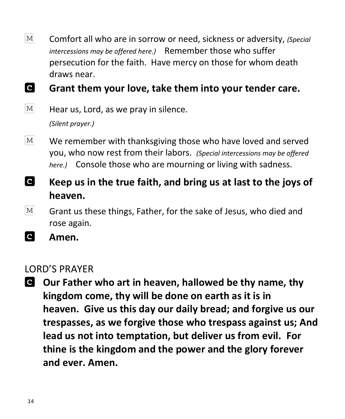$\lceil \text{M} \rceil$ Comfort all who are in sorrow or need, sickness or adversity, *(Special intercessions may be offered here.)* Remember those who suffer persecution for the faith. Have mercy on those for whom death draws near.

**C Grant them your love, take them into your tender care.**

 $\lceil \text{M} \rceil$ Hear us, Lord, as we pray in silence.

*(Silent prayer.)*

- $\mathbf{M}$ We remember with thanksgiving those who have loved and served you, who now rest from their labors. *(Special intercessions may be offered here.)* Console those who are mourning or living with sadness.
- **C Keep us in the true faith, and bring us at last to the joys of heaven.**
- $|M|$ Grant us these things, Father, for the sake of Jesus, who died and rose again.
- **C Amen.**

### LORD'S PRAYER

**Our Father who art in heaven, hallowed be thy name, thy kingdom come, thy will be done on earth as it is in heaven. Give us this day our daily bread; and forgive us our trespasses, as we forgive those who trespass against us; And lead us not into temptation, but deliver us from evil. For thine is the kingdom and the power and the glory forever and ever. Amen.**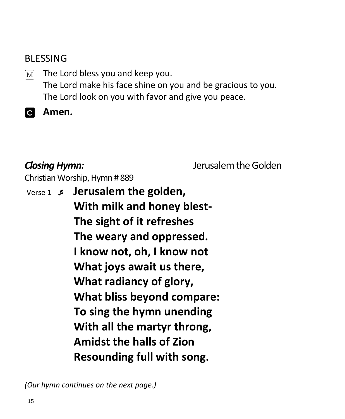### BLESSING

The Lord bless you and keep you.  $M<sup>2</sup>$ The Lord make his face shine on you and be gracious to you. The Lord look on you with favor and give you peace.

**Amen.**

*Closing Hymn:* Jerusalem the Golden

Christian Worship, Hymn # 889

Verse 1 **Jerusalem the golden, With milk and honey blest-The sight of it refreshes The weary and oppressed. I know not, oh, I know not What joys await us there, What radiancy of glory, What bliss beyond compare: To sing the hymn unending With all the martyr throng, Amidst the halls of Zion Resounding full with song.**

*(Our hymn continues on the next page.)*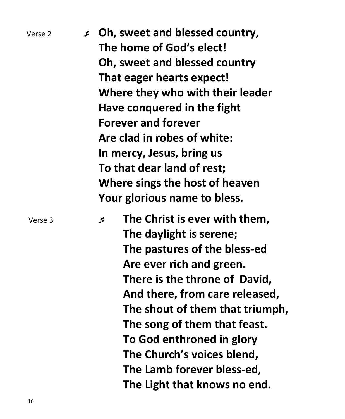| Verse 2 | J. | Oh, sweet and blessed country,<br>The home of God's elect!<br>Oh, sweet and blessed country<br>That eager hearts expect!<br>Where they who with their leader<br>Have conquered in the fight<br><b>Forever and forever</b><br>Are clad in robes of white:<br>In mercy, Jesus, bring us<br>To that dear land of rest;<br>Where sings the host of heaven<br>Your glorious name to bless.    |
|---------|----|------------------------------------------------------------------------------------------------------------------------------------------------------------------------------------------------------------------------------------------------------------------------------------------------------------------------------------------------------------------------------------------|
| Verse 3 |    | The Christ is ever with them,<br>A<br>The daylight is serene;<br>The pastures of the bless-ed<br>Are ever rich and green.<br>There is the throne of David,<br>And there, from care released,<br>The shout of them that triumph,<br>The song of them that feast.<br>To God enthroned in glory<br>The Church's voices blend,<br>The Lamb forever bless-ed,<br>The Light that knows no end. |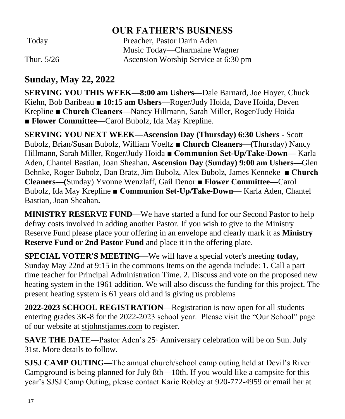### **OUR FATHER'S BUSINESS**

Today Preacher, Pastor Darin Aden Music Today—Charmaine Wagner Thur. 5/26 Ascension Worship Service at 6:30 pm

### **Sunday, May 22, 2022**

**SERVING YOU THIS WEEK—8:00 am Ushers—**Dale Barnard, Joe Hoyer, Chuck Kiehn, Bob Baribeau ■ **10:15 am Ushers—**Roger/Judy Hoida, Dave Hoida, Deven Krepline **■ Church Cleaners—**Nancy Hillmann, Sarah Miller, Roger/Judy Hoida ■ **Flower Committee—Carol Bubolz**, Ida May Krepline.

**SERVING YOU NEXT WEEK—Ascension Day (Thursday) 6:30 Ushers -** Scott Bubolz, Brian/Susan Bubolz, William Voeltz ■ **Church Cleaners—**(Thursday) Nancy Hillmann, Sarah Miller, Roger/Judy Hoida **■ Communion Set-Up/Take-Down—** Karla Aden, Chantel Bastian, Joan Sheahan**. Ascension Day** (**Sunday) 9:00 am Ushers—**Glen Behnke, Roger Bubolz, Dan Bratz, Jim Bubolz, Alex Bubolz, James Kenneke **■ Church Cleaners—(**Sunday) Yvonne Wenzlaff, Gail Denor ■ **Flower Committee—**Carol Bubolz, Ida May Krepline **■ Communion Set-Up/Take-Down—** Karla Aden, Chantel Bastian, Joan Sheahan**.**

**MINISTRY RESERVE FUND**—We have started a fund for our Second Pastor to help defray costs involved in adding another Pastor. If you wish to give to the Ministry Reserve Fund please place your offering in an envelope and clearly mark it as **Ministry Reserve Fund or 2nd Pastor Fund** and place it in the offering plate.

**SPECIAL VOTER'S MEETING—**We will have a special voter's meeting **today,** Sunday May 22nd at 9:15 in the commons Items on the agenda include: 1. Call a part time teacher for Principal Administration Time. 2. Discuss and vote on the proposed new heating system in the 1961 addition. We will also discuss the funding for this project. The present heating system is 61 years old and is giving us problems

**2022-2023 SCHOOL REGISTRATION**—Registration is now open for all students entering grades 3K-8 for the 2022-2023 school year. Please visit the "Our School" page of our website at [stjohnstjames.com](http://www.stjohnstjames.com/) to register.

**SAVE THE DATE—Pastor Aden's 25<sup>th</sup> Anniversary celebration will be on Sun. July** 31st. More details to follow.

**SJSJ CAMP OUTING—**The annual church/school camp outing held at Devil's River Campground is being planned for July 8th—10th. If you would like a campsite for this year's SJSJ Camp Outing, please contact Karie Robley at 920-772-4959 or email her at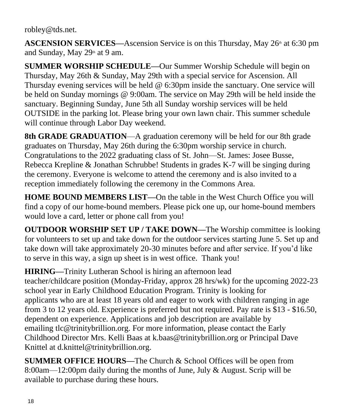robley@tds.net.

ASCENSION SERVICES—Ascension Service is on this Thursday, May 26<sup>th</sup> at 6:30 pm and Sunday, May  $29<sup>th</sup>$  at 9 am.

**SUMMER WORSHIP SCHEDULE—**Our Summer Worship Schedule will begin on Thursday, May 26th & Sunday, May 29th with a special service for Ascension. All Thursday evening services will be held @ 6:30pm inside the sanctuary. One service will be held on Sunday mornings @ 9:00am. The service on May 29th will be held inside the sanctuary. Beginning Sunday, June 5th all Sunday worship services will be held OUTSIDE in the parking lot. Please bring your own lawn chair. This summer schedule will continue through Labor Day weekend.

**8th GRADE GRADUATION—A** graduation ceremony will be held for our 8th grade graduates on Thursday, May 26th during the 6:30pm worship service in church. Congratulations to the 2022 graduating class of St. John—St. James: Josee Busse, Rebecca Krepline & Jonathan Schrubbe! Students in grades K-7 will be singing during the ceremony. Everyone is welcome to attend the ceremony and is also invited to a reception immediately following the ceremony in the Commons Area.

**HOME BOUND MEMBERS LIST—**On the table in the West Church Office you will find a copy of our home-bound members. Please pick one up, our home-bound members would love a card, letter or phone call from you!

**OUTDOOR WORSHIP SET UP / TAKE DOWN—**The Worship committee is looking for volunteers to set up and take down for the outdoor services starting June 5. Set up and take down will take approximately 20-30 minutes before and after service. If you'd like to serve in this way, a sign up sheet is in west office. Thank you!

**HIRING—**Trinity Lutheran School is hiring an afternoon lead teacher/childcare position (Monday-Friday, approx 28 hrs/wk) for the upcoming 2022-23 school year in Early Childhood Education Program. Trinity is looking for applicants who are at least 18 years old and eager to work with children ranging in age from 3 to 12 years old. Experience is preferred but not required. Pay rate is \$13 - \$16.50, dependent on experience. Applications and job description are available by emailing tlc@trinitybrillion.org. For more information, please contact the Early Childhood Director Mrs. Kelli Baas at k.baas@trinitybrillion.org or Principal Dave Knittel at d.knittel@trinitybrillion.org.

**SUMMER OFFICE HOURS—**The Church & School Offices will be open from 8:00am—12:00pm daily during the months of June, July & August. Scrip will be available to purchase during these hours.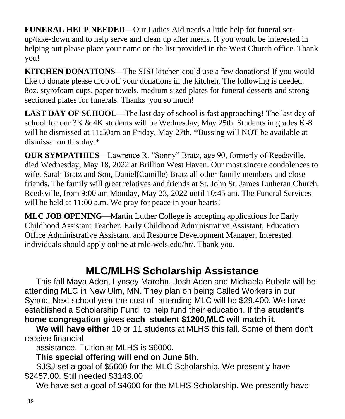**FUNERAL HELP NEEDED—**Our Ladies Aid needs a little help for funeral setup/take-down and to help serve and clean up after meals. If you would be interested in helping out please place your name on the list provided in the West Church office. Thank you!

**KITCHEN DONATIONS—**The SJSJ kitchen could use a few donations! If you would like to donate please drop off your donations in the kitchen. The following is needed: 8oz. styrofoam cups, paper towels, medium sized plates for funeral desserts and strong sectioned plates for funerals. Thanks you so much!

**LAST DAY OF SCHOOL—The last day of school is fast approaching! The last day of** school for our 3K & 4K students will be Wednesday, May 25th. Students in grades K-8 will be dismissed at 11:50am on Friday, May 27th. \*Bussing will NOT be available at dismissal on this day.\*

**OUR SYMPATHIES—**Lawrence R. "Sonny" Bratz, age 90, formerly of Reedsville, died Wednesday, May 18, 2022 at Brillion West Haven. Our most sincere condolences to wife, Sarah Bratz and Son, Daniel(Camille) Bratz all other family members and close friends. The family will greet relatives and friends at St. John St. James Lutheran Church, Reedsville, from 9:00 am Monday, May 23, 2022 until 10:45 am. The Funeral Services will be held at 11:00 a.m. We pray for peace in your hearts!

**MLC JOB OPENING—**Martin Luther College is accepting applications for Early Childhood Assistant Teacher, Early Childhood Administrative Assistant, Education Office Administrative Assistant, and Resource Development Manager. Interested individuals should apply online at mlc-wels.edu/hr/. Thank you.

## **MLC/MLHS Scholarship Assistance**

 This fall Maya Aden, Lynsey Marohn, Josh Aden and Michaela Bubolz will be attending MLC in New Ulm, MN. They plan on being Called Workers in our Synod. Next school year the cost of attending MLC will be \$29,400. We have established a Scholarship Fund to help fund their education. If the **student's home congregation gives each student \$1200,MLC will match it.** 

 **We will have either** 10 or 11 students at MLHS this fall. Some of them don't receive financial

assistance. Tuition at MLHS is \$6000.

**This special offering will end on June 5th**.

 SJSJ set a goal of \$5600 for the MLC Scholarship. We presently have \$2457.00. Still needed \$3143.00

We have set a goal of \$4600 for the MLHS Scholarship. We presently have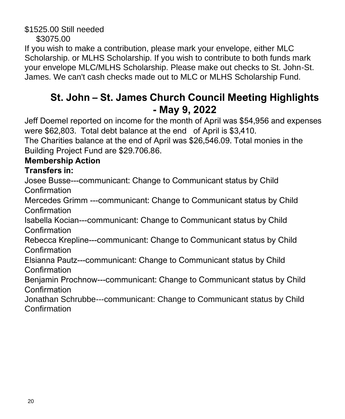\$1525.00 Still needed \$3075.00

If you wish to make a contribution, please mark your envelope, either MLC Scholarship. or MLHS Scholarship. If you wish to contribute to both funds mark your envelope MLC/MLHS Scholarship. Please make out checks to St. John-St. James. We can't cash checks made out to MLC or MLHS Scholarship Fund.

# **St. John – St. James Church Council Meeting Highlights - May 9, 2022**

Jeff Doemel reported on income for the month of April was \$54,956 and expenses were \$62,803. Total debt balance at the end of April is \$3,410.

The Charities balance at the end of April was \$26,546.09. Total monies in the Building Project Fund are \$29.706.86.

### **Membership Action**

### **Transfers in:**

Josee Busse---communicant: Change to Communicant status by Child Confirmation

Mercedes Grimm ---communicant: Change to Communicant status by Child Confirmation

Isabella Kocian---communicant: Change to Communicant status by Child **Confirmation** 

Rebecca Krepline---communicant: Change to Communicant status by Child **Confirmation** 

Elsianna Pautz---communicant: Change to Communicant status by Child Confirmation

Benjamin Prochnow---communicant: Change to Communicant status by Child Confirmation

Jonathan Schrubbe---communicant: Change to Communicant status by Child Confirmation